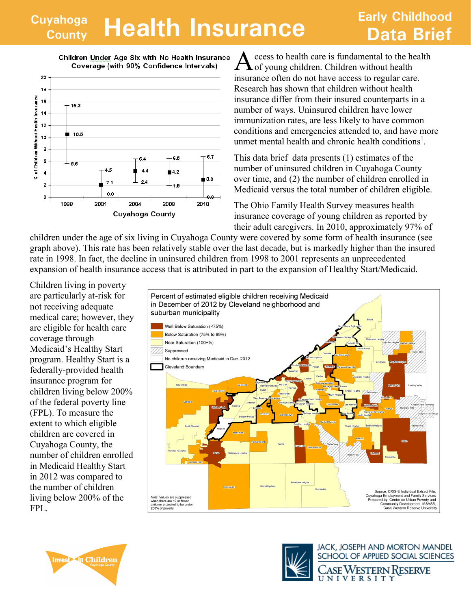## **Cuyahoga County Health Insurance Data Brief**

## **Early Childhood**



Children Under Age Six with No Health Insurance Coverage (with 90% Confidence Intervals)

A ccess to health care is fundamental to the health of young children. Children without health ccess to health care is fundamental to the health insurance often do not have access to regular care. Research has shown that children without health insurance differ from their insured counterparts in a number of ways. Uninsured children have lower immunization rates, are less likely to have common conditions and emergencies attended to, and have more unmet mental health and chronic health conditions<sup>1</sup>.

This data brief data presents (1) estimates of the number of uninsured children in Cuyahoga County over time, and (2) the number of children enrolled in Medicaid versus the total number of children eligible.

The Ohio Family Health Survey measures health insurance coverage of young children as reported by their adult caregivers. In 2010, approximately 97% of

children under the age of six living in Cuyahoga County were covered by some form of health insurance (see graph above). This rate has been relatively stable over the last decade, but is markedly higher than the insured rate in 1998. In fact, the decline in uninsured children from 1998 to 2001 represents an unprecedented expansion of health insurance access that is attributed in part to the expansion of Healthy Start/Medicaid.

Children living in poverty are particularly at-risk for not receiving adequate medical care; however, they are eligible for health care coverage through Medicaid's Healthy Start program. Healthy Start is a federally-provided health insurance program for children living below 200% of the federal poverty line (FPL). To measure the extent to which eligible children are covered in Cuyahoga County, the number of children enrolled in Medicaid Healthy Start in 2012 was compared to the number of children living below 200% of the FPL.